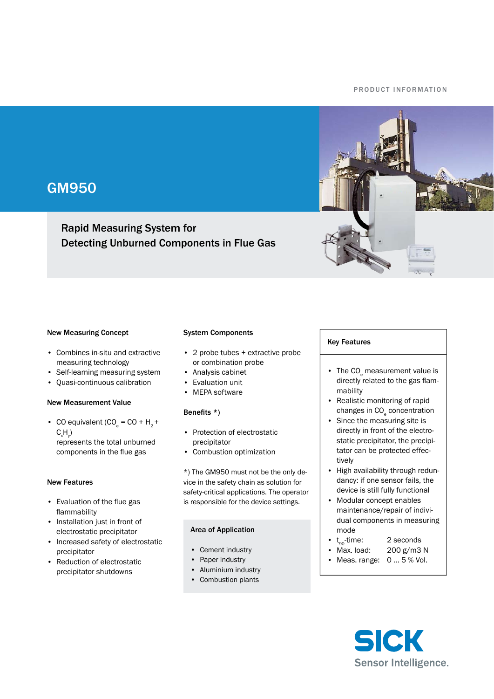#### P R O D U C T IN FORMATION



# GM950

# Rapid Measuring System for Detecting Unburned Components in Flue Gas

#### New Measuring Concept

- Combines in-situ and extractive measuring technology
- Self-learning measuring system •
- Quasi-continuous calibration

#### New Measurement Value

• CO equivalent  $(CO<sub>e</sub> = CO + H<sub>2</sub> +$  $\mathsf{C}\vphantom{\mathsf{L}}_\mathsf{x}\mathsf{H}\vphantom{\mathsf{L}}_\mathsf{y}$ represents the total unburned components in the flue gas

#### New Features

- Evaluation of the flue gas flammability
- Installation just in front of electrostatic precipitator
- Increased safety of electrostatic precipitator
- Reduction of electrostatic precipitator shutdowns

#### System Components

- 2 probe tubes + extractive probe or combination probe
- Analysis cabinet
- Evaluation unit
- MEPA software

### Benefits  $*$ )

- Protection of electrostatic precipitator
- Combustion optimization

\*) The GM950 must not be the only device in the safety chain as solution for safety-critical applications. The operator is responsible for the device settings.

#### Area of Application

- Cement industry
- Paper industry
- Aluminium industry
- Combustion plants

#### Key Features

- The CO<sub>e</sub> measurement value is directly related to the gas flammability
- Realistic monitoring of rapid changes in CO<sub>e</sub> concentration •
- Since the measuring site is directly in front of the electrostatic precipitator, the precipitator can be protected effectively
- High availability through redundancy: if one sensor fails, the device is still fully functional
- Modular concept enables maintenance/repair of individual components in measuring mode
- $t_{\rm oo}$ -time: 2 seconds •
- 200 g/m3 N • Max. load:
- Meas. range:  $0...5\%$  Vol.